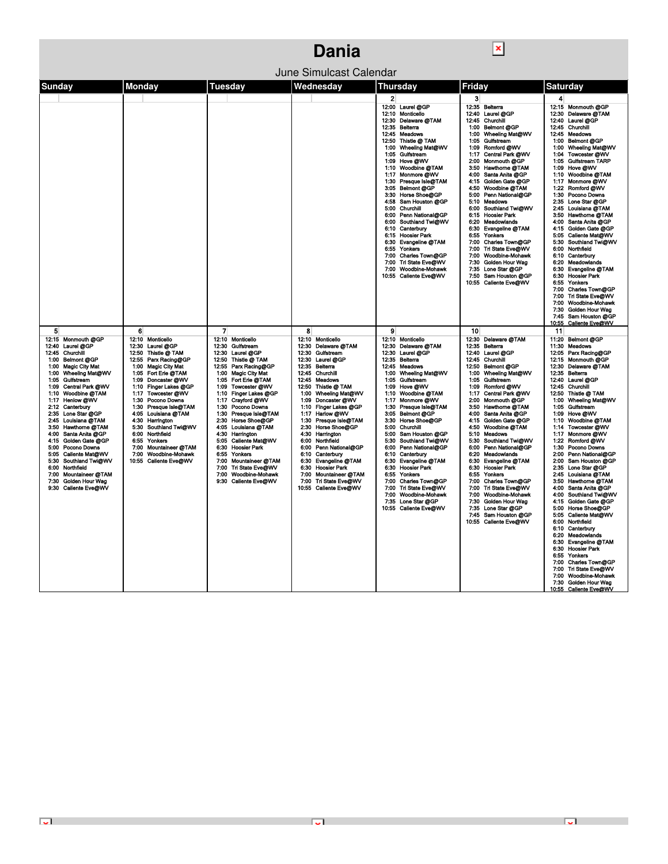|                                                                                                                                                                                                                                                                                                                                                                                                                                                                                                                                                                                                                                                                                                                                                                                                                                                                                                                                                                                                                                               |                                                                                                                                                                                                                                                                                                                                                                                                                                                                                                                                                                                                    | Dania                                                                                                                                                                                                                                                                                                                                                                                                                                                                                                                                         |                                                                                                                                                                                                                                                                                                                                                                                                                                                                                                                                                                                              |                                                                                                                                                                                                                                                                                                                                                                                                                                                                                                                                                                                                                                                                                                                          |                                                                                                                                                                                                                                                                                                                                                                                                                                                                                                                                                                                                                                                                                                                                                                                                                                                                                                                         |  |  |
|-----------------------------------------------------------------------------------------------------------------------------------------------------------------------------------------------------------------------------------------------------------------------------------------------------------------------------------------------------------------------------------------------------------------------------------------------------------------------------------------------------------------------------------------------------------------------------------------------------------------------------------------------------------------------------------------------------------------------------------------------------------------------------------------------------------------------------------------------------------------------------------------------------------------------------------------------------------------------------------------------------------------------------------------------|----------------------------------------------------------------------------------------------------------------------------------------------------------------------------------------------------------------------------------------------------------------------------------------------------------------------------------------------------------------------------------------------------------------------------------------------------------------------------------------------------------------------------------------------------------------------------------------------------|-----------------------------------------------------------------------------------------------------------------------------------------------------------------------------------------------------------------------------------------------------------------------------------------------------------------------------------------------------------------------------------------------------------------------------------------------------------------------------------------------------------------------------------------------|----------------------------------------------------------------------------------------------------------------------------------------------------------------------------------------------------------------------------------------------------------------------------------------------------------------------------------------------------------------------------------------------------------------------------------------------------------------------------------------------------------------------------------------------------------------------------------------------|--------------------------------------------------------------------------------------------------------------------------------------------------------------------------------------------------------------------------------------------------------------------------------------------------------------------------------------------------------------------------------------------------------------------------------------------------------------------------------------------------------------------------------------------------------------------------------------------------------------------------------------------------------------------------------------------------------------------------|-------------------------------------------------------------------------------------------------------------------------------------------------------------------------------------------------------------------------------------------------------------------------------------------------------------------------------------------------------------------------------------------------------------------------------------------------------------------------------------------------------------------------------------------------------------------------------------------------------------------------------------------------------------------------------------------------------------------------------------------------------------------------------------------------------------------------------------------------------------------------------------------------------------------------|--|--|
| June Simulcast Calendar                                                                                                                                                                                                                                                                                                                                                                                                                                                                                                                                                                                                                                                                                                                                                                                                                                                                                                                                                                                                                       |                                                                                                                                                                                                                                                                                                                                                                                                                                                                                                                                                                                                    |                                                                                                                                                                                                                                                                                                                                                                                                                                                                                                                                               |                                                                                                                                                                                                                                                                                                                                                                                                                                                                                                                                                                                              |                                                                                                                                                                                                                                                                                                                                                                                                                                                                                                                                                                                                                                                                                                                          |                                                                                                                                                                                                                                                                                                                                                                                                                                                                                                                                                                                                                                                                                                                                                                                                                                                                                                                         |  |  |
| Sunday<br>Monday                                                                                                                                                                                                                                                                                                                                                                                                                                                                                                                                                                                                                                                                                                                                                                                                                                                                                                                                                                                                                              | Tuesday                                                                                                                                                                                                                                                                                                                                                                                                                                                                                                                                                                                            | Wednesday                                                                                                                                                                                                                                                                                                                                                                                                                                                                                                                                     | Thursday                                                                                                                                                                                                                                                                                                                                                                                                                                                                                                                                                                                     | Friday                                                                                                                                                                                                                                                                                                                                                                                                                                                                                                                                                                                                                                                                                                                   | Saturday                                                                                                                                                                                                                                                                                                                                                                                                                                                                                                                                                                                                                                                                                                                                                                                                                                                                                                                |  |  |
|                                                                                                                                                                                                                                                                                                                                                                                                                                                                                                                                                                                                                                                                                                                                                                                                                                                                                                                                                                                                                                               |                                                                                                                                                                                                                                                                                                                                                                                                                                                                                                                                                                                                    |                                                                                                                                                                                                                                                                                                                                                                                                                                                                                                                                               | $\mathbf{2}$<br>12:00 Laurel @GP<br>12:10 Monticello<br>12:30 Delaware @TAM<br>12:35 Belterra<br>12:45 Meadows<br>12:50 Thistle @ TAM<br>1:00 Wheeling Mat@WV<br>1:05 Gulfstream<br>1:09 Hove @WV<br>1:10 Woodbine @TAM<br>1:17 Monmore @WV<br>1:30 Presque Isle@TAM<br>3:05 Belmont @GP<br>3:30 Horse Shoe@GP<br>4:58 Sam Houston @GP<br>5:00 Churchill<br>6:00 Penn National@GP<br>6:00 Southland Twi@WV<br>6:10 Canterbury<br>6:15 Hoosier Park<br>6:30 Evangeline @TAM<br>6:55 Yonkers<br>7:00 Charles Town@GP<br>7:00 Tri State Eve@WV<br>7:00 Woodbine-Mohawk<br>10:55 Callente Eve@WV | 3<br>12:35 Belterra<br>12:40 Laurel @GP<br>12:45 Churchill<br>1:00 Belmont @GP<br>Wheeling Mat@WV<br>1:00<br>Gulfstream<br>1:05<br>Romford @WV<br>1:09<br>Central Park @WV<br>1:17<br>2:00<br>Monmouth @GP<br>Hawthorne @TAM<br>3:50<br>Santa Anita @GP<br>4:00<br>Golden Gate @GP<br>4:15<br>Woodbine @TAM<br>4:50<br>Penn National@GP<br>5:00<br>5:10<br>Meadows<br>Southland Twi@WV<br>6:00<br>6:15<br><b>Hoosier Park</b><br>6:20<br>Meadowlands<br>Evangeline @TAM<br>6:30<br>6:55<br>Yonkers<br>7:00<br>Charles Town@GP<br>Tri State Eve@WV<br>7:00<br>7:00<br>Woodbine-Mohawk<br>7:30<br><b>Golden Hour Wag</b><br>7:35 Lone Star @GP<br>7:50 Sam Houston @GP<br>10:55 Caliente Eve@WV                            | 4<br>12:15 Monmouth @GP<br>12:30 Delaware @TAM<br>12:40 Laurel @GP<br>12:45 Churchill<br>Meadows<br>12:45<br><b>Belmont @GP</b><br>1:00<br>Wheeling Mat@WV<br>1:00<br>Towcester @WV<br>1:04<br>1:05 Gulfstream TARP<br>Hove @WV<br>1:09<br>1:10 Woodbine @TAM<br>Monmore @WV<br>1:17<br>1:22 Romford @WV<br>1:30 Pocono Downs<br>2:35 Lone Star @GP<br>2:45 Louisiana @TAM<br>3:50 Hawthorne @TAM<br>Santa Anita @GP<br>4:00<br>4:15 Golden Gate @GP<br>5:05 Caliente Mat@WV<br>Southland Twi@WV<br>5:30<br>Northfield<br>6:00<br>Canterbury<br>6:10<br>Meadowlands<br>6:20<br>Evangeline @TAM<br>6:30<br><b>Hoosier Park</b><br>6:30<br>6:55<br>Yonkers<br>7:00 Charles Town@GP<br>Tri State Eve@WV<br>7:00<br>Woodbine-Mohawk<br>7:00<br>Golden Hour Wag<br>7:30.<br>7:45 Sam Houston @GP<br>10:55<br>Caliente Eve@WV                                                                                                 |  |  |
| 5<br>6<br>12:15 Monmouth @GP<br>12:10 Monticello<br>12:40 Laurel @GP<br>12:30 Laurel @GP<br>12:45 Churchill<br>12:50 Thistle @ TAM<br>12:55 Parx Racing@GP<br><b>Belmont @GP</b><br>1:00<br>1:00 Magic City Mat<br><b>Magic City Mat</b><br>1:00<br>Wheeling Mat@WV<br>1:05 Fort Erie @TAM<br>1:00<br>1:09 Doncaster @WV<br>1:05<br>Gulfstream<br>1:10 Finger Lakes @GP<br>Central Park @WV<br>1:09<br>1:10 Woodbine @TAM<br>1:17 Towcester @WV<br>1:30 Pocono Downs<br>1:17 Henlow @WV<br>1:30 Presque Isle@TAM<br>2:12 Canterbury<br>2:35 Lone Star @GP<br>4:05 Louisiana @TAM<br>2:45 Louisiana @TAM<br>4.30<br>Harrington<br>Southland Twi@WV<br>3:50 Hawthorne @TAM<br>5:30<br>4:00 Santa Anita @GP<br>6:00<br>Northfield<br>Golden Gate @GP<br>6:55<br>Yonkers<br>4:15<br>Pocono Downs<br>7:00 Mountaineer @TAM<br>5:00<br>Caliente Mat@WV<br>7:00 Woodbine-Mohawk<br>5:05<br>Southland Twi@WV<br>5.30<br>10:55 Caliente Eve@WV<br>Northfield<br>6:00<br>Mountaineer @TAM<br>7:00<br>Golden Hour Wag<br>7:30<br>Caliente Eve@WV<br>9:30 | $\overline{ }$<br>12:10 Monticello<br>Gulfstream<br>12:30<br>Laurel @GP<br>12:30<br>Thistle @ TAM<br>12:50<br>Parx Racing@GP<br>12:55<br><b>Magic City Mat</b><br>1:00<br>Fort Erie @TAM<br>1:05<br>Towcester @WV<br>1:09<br>Finger Lakes @GP<br>1:10<br>Crayford @WV<br>1:17<br>Pocono Downs<br>1:30<br>Presque Isle@TAM<br>1:30<br>Horse Shoe@GP<br>2:30<br>Louisiana @TAM<br>4:05<br>Harrington<br>4:30<br>Caliente Mat@WV<br>5:05<br><b>Hoosier Park</b><br>6:30<br>6:55<br>Yonkers<br>Mountaineer @TAM<br>7:00<br>Tri State Eve@WV<br>7:00<br>Woodbine-Mohawk<br>7:00<br>9:30 Caliente Eve@WV | 8<br>12:10 Monticello<br>12:30 Delaware @TAM<br>12:30 Gulfstream<br>12:30 Laurel @GP<br>12:35<br>Belterra<br>Churchill<br>12:45<br>12:45<br><b>Meadows</b><br>12:50 Thistle @ TAM<br>1:00 Wheeling Mat@WV<br>1:09 Doncaster @WV<br>1:10 Finger Lakes @GP<br>1:17 Harlow @WV<br>Presque Isle@TAM<br>1:30<br>2:30 Horse Shoe@GP<br>4:30 Harrington<br>6:00 Northfield<br>6:00 Penn National@GP<br>Canterbury<br>6:10<br>Evangeline @TAM<br>6:30<br>6:30 Hoosier Park<br>7:00 Mountaineer @TAM<br>7:00 Tri State Eve@WV<br>10:55 Caliente Eve@WV | 9<br>12:10 Monticello<br>12:30 Delaware @TAM<br>12:30 Laurel @GP<br>12:35 Belterra<br>12:45 Meadows<br>1:00 Wheeling Mat@WV<br>1:05 Gulfstream<br>1:09 Hove @WV<br>1:10 Woodbine @TAM<br>1:17 Monmore @WV<br>1:30 Presque Isle@TAM<br>3:05 Belmont @GP<br>Horse Shoe@GP<br>3:30<br>5:00 Churchill<br>5:00 Sam Houston @GP<br>5:30 Southland Twi@WV<br>6:00 Penn National@GP<br>6:10 Canterbury<br>6:30 Evangeline @TAM<br>6:30 Hoosier Park<br>6:55 Yonkers<br>7:00 Charles Town@GP<br>7:00 Tri State Eve@WV<br>7:00 Woodbine-Mohawk<br>7:35 Lone Star @GP<br>10:55 Caliente Eve@WV          | 10<br>12:30 Delaware @TAM<br>12:35<br>Beiterra<br>Laurel @GP<br>12:40<br>12:45<br>Churchill<br>12:50 Belmont @GP<br>Wheeling Mat@WV<br>1:00<br>1:05<br>Gulfstream<br>Romford @WV<br>1:09<br>Central Park @WV<br>1:17<br>2:00 Monmouth @GP<br>3:50 Hawthorne @TAM<br>Santa Anita @GP<br>4:00<br>Golden Gate @GP<br>4:15<br>Woodbine @TAM<br>4:50<br>Meadows<br>5:10<br>Southland Twi@WV<br>5:30<br>Penn National@GP<br>6:00<br>Meadowlands<br>6:20<br>6:30<br>Evangeline @TAM<br><b>Hoosier Park</b><br>6:30<br>6:55<br>Yonkers<br>7:00<br>Charles Town@GP<br>Tri State Eve@WV<br>7:00<br>Woodbine-Mohawk<br>7:00<br>7:30<br>Golden Hour Wag<br>Lone Star @GP<br>7:35<br>7:45<br>Sam Houston @GP<br>10:55 Caliente Eve@WV | 11<br>11:20<br><b>Belmont @GP</b><br>Meadows<br>11:30<br>12:05 Parx Racing@GP<br>12:15 Monmouth @GP<br>12:30 Delaware @TAM<br>12:35 Belterra<br>12:40 Laurel @GP<br>12:45 Churchill<br>12:50 Thistle @ TAM<br>1:00 Wheeling Mat@WV<br>1:05 Gulfstream<br>Hove @WV<br>1:09<br>1:10 Woodbine @TAM<br>1:14 Towcester @WV<br>1:17 Monmore @WV<br>1:22<br>Romford @WV<br>Pocono Downs<br>1:30<br>Penn National@GP<br>2:00<br>Sam Houston @GP<br>2:00<br>2:35 Lone Star @GP<br>2:45 Louisiana @TAM<br>3:50 Hawthorne @TAM<br>4:00 Santa Anita @GP<br>Southland Twi@WV<br>4:00<br>Golden Gate @GP<br>4:15<br>Horse Shoe@GP<br>5:00<br>Caliente Mat@WV<br>5:05<br>6:00<br>Northfield<br>Canterbury<br>6:10<br>6:20<br>Meadowlands<br>6:30<br>Evangeline @TAM<br><b>Hoosier Park</b><br>6:30<br>Yonkers<br>6:55<br>7:00 Charles Town@GP<br>7:00 Tri State Eve@WV<br>7:00 Woodbine-Mohawk<br>7:30 Golden Hour Wag<br><b>IA-EE</b> |  |  |